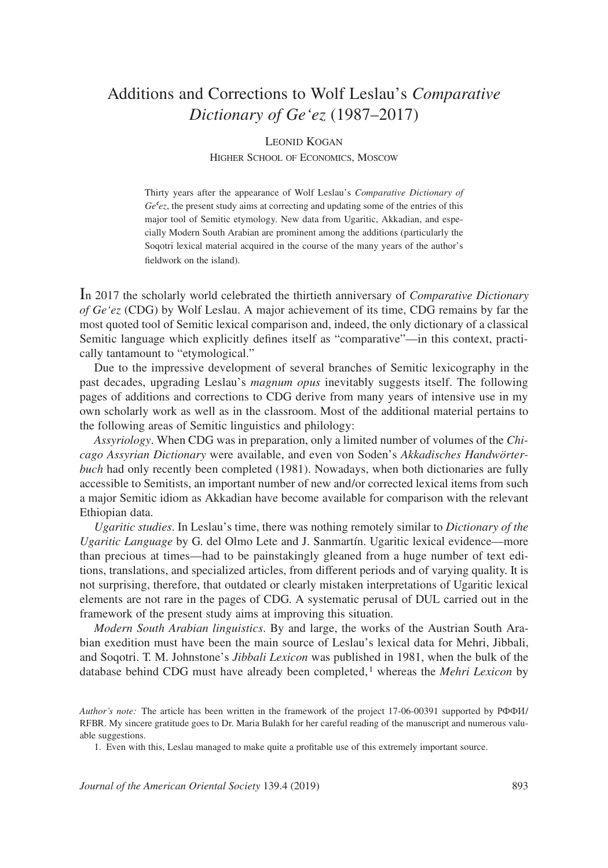## Additions and Corrections to Wolf Leslau's *Comparative Dictionary of Ge'ez* (1987–2017)

## Leonid Kogan

Higher School of Economics, Moscow

Thirty years after the appearance of Wolf Leslau's *Comparative Dictionary of Geʿez*, the present study aims at correcting and updating some of the entries of this major tool of Semitic etymology. New data from Ugaritic, Akkadian, and especially Modern South Arabian are prominent among the additions (particularly the Soqotri lexical material acquired in the course of the many years of the author's fieldwork on the island).

In 2017 the scholarly world celebrated the thirtieth anniversary of *Comparative Dictionary of Ge'ez* (CDG) by Wolf Leslau. A major achievement of its time, CDG remains by far the most quoted tool of Semitic lexical comparison and, indeed, the only dictionary of a classical Semitic language which explicitly defines itself as "comparative"—in this context, practically tantamount to "etymological."

Due to the impressive development of several branches of Semitic lexicography in the past decades, upgrading Leslau's *magnum opus* inevitably suggests itself. The following pages of additions and corrections to CDG derive from many years of intensive use in my own scholarly work as well as in the classroom. Most of the additional material pertains to the following areas of Semitic linguistics and philology:

*Assyriology*. When CDG was in preparation, only a limited number of volumes of the *Chicago Assyrian Dictionary* were available, and even von Soden's *Akkadisches Handwörterbuch* had only recently been completed (1981). Nowadays, when both dictionaries are fully accessible to Semitists, an important number of new and/or corrected lexical items from such a major Semitic idiom as Akkadian have become available for comparison with the relevant Ethiopian data.

*Ugaritic studies*. In Leslau's time, there was nothing remotely similar to *Dictionary of the Ugaritic Language* by G. del Olmo Lete and J. Sanmartín. Ugaritic lexical evidence—more than precious at times—had to be painstakingly gleaned from a huge number of text editions, translations, and specialized articles, from different periods and of varying quality. It is not surprising, therefore, that outdated or clearly mistaken interpretations of Ugaritic lexical elements are not rare in the pages of CDG. A systematic perusal of DUL carried out in the framework of the present study aims at improving this situation.

*Modern South Arabian linguistics*. By and large, the works of the Austrian South Arabian exedition must have been the main source of Leslau's lexical data for Mehri, Jibbali, and Soqotri. T. M. Johnstone's *Jibbali Lexicon* was published in 1981, when the bulk of the database behind CDG must have already been completed, 1 whereas the *Mehri Lexicon* by

*Author's note:* The article has been written in the framework of the project 17-06-00391 supported by РФФИ/ RFBR. My sincere gratitude goes to Dr. Maria Bulakh for her careful reading of the manuscript and numerous valuable suggestions.

<sup>1.</sup> Even with this, Leslau managed to make quite a profitable use of this extremely important source.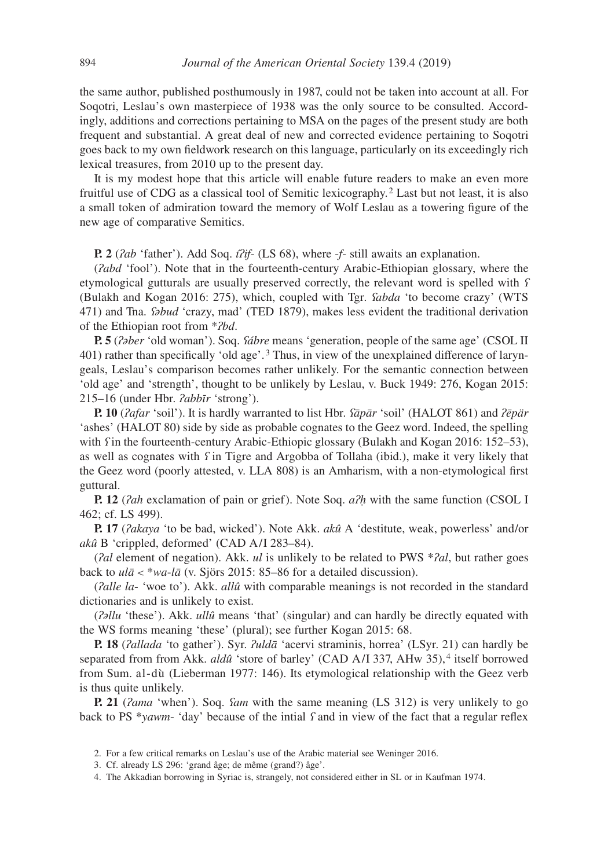the same author, published posthumously in 1987, could not be taken into account at all. For Soqotri, Leslau's own masterpiece of 1938 was the only source to be consulted. Accordingly, additions and corrections pertaining to MSA on the pages of the present study are both frequent and substantial. A great deal of new and corrected evidence pertaining to Soqotri goes back to my own fieldwork research on this language, particularly on its exceedingly rich lexical treasures, from 2010 up to the present day.

It is my modest hope that this article will enable future readers to make an even more fruitful use of CDG as a classical tool of Semitic lexicography. 2 Last but not least, it is also a small token of admiration toward the memory of Wolf Leslau as a towering figure of the new age of comparative Semitics.

**P. 2** (*ʔab* 'father'). Add Soq. *íʔif*- (LS 68), where -*f*- still awaits an explanation.

(*ʔabd* 'fool'). Note that in the fourteenth-century Arabic-Ethiopian glossary, where the etymological gutturals are usually preserved correctly, the relevant word is spelled with *ʕ* (Bulakh and Kogan 2016: 275), which, coupled with Tgr. *ʕabda* 'to become crazy' (WTS 471) and Tna. *ʕəbud* 'crazy, mad' (TED 1879), makes less evident the traditional derivation of the Ethiopian root from \**ʔbd*.

**P. 5** (*ʔəber* 'old woman'). Soq. *ʕábre* means 'generation, people of the same age' (CSOL II 401) rather than specifically 'old age'.<sup>3</sup> Thus, in view of the unexplained difference of laryngeals, Leslau's comparison becomes rather unlikely. For the semantic connection between 'old age' and 'strength', thought to be unlikely by Leslau, v. Buck 1949: 276, Kogan 2015: 215–16 (under Hbr. *ʔabbīr* 'strong').

**P. 10** (*ʔafar* 'soil'). It is hardly warranted to list Hbr. *ʕāpār* 'soil' (HALOT 861) and *ʔēpär* 'ashes' (HALOT 80) side by side as probable cognates to the Geez word. Indeed, the spelling with *f* in the fourteenth-century Arabic-Ethiopic glossary (Bulakh and Kogan 2016: 152–53), as well as cognates with *ʕ* in Tigre and Argobba of Tollaha (ibid.), make it very likely that the Geez word (poorly attested, v. LLA 808) is an Amharism, with a non-etymological first guttural.

**P. 12** (*ʔah* exclamation of pain or grief). Note Soq. *aʔḥ* with the same function (CSOL I 462; cf. LS 499).

**P. 17** (*ʔakaya* 'to be bad, wicked'). Note Akk. *akû* A 'destitute, weak, powerless' and/or *akû* B 'crippled, deformed' (CAD A/I 283–84).

(*ʔal* element of negation). Akk. *ul* is unlikely to be related to PWS \**ʔal*, but rather goes back to *ulā* < \**wa*-*lā* (v. Sjörs 2015: 85–86 for a detailed discussion).

(*ʔalle la*- 'woe to'). Akk. *allû* with comparable meanings is not recorded in the standard dictionaries and is unlikely to exist.

(*ʔəllu* 'these'). Akk. *ullû* means 'that' (singular) and can hardly be directly equated with the WS forms meaning 'these' (plural); see further Kogan 2015: 68.

**P. 18** (*ʔallada* 'to gather'). Syr. *ʔuldā* 'acervi straminis, horrea' (LSyr. 21) can hardly be separated from from Akk. *aldû* 'store of barley' (CAD A/I 337, AHw 35),<sup>4</sup> itself borrowed from Sum. al-dù (Lieberman 1977: 146). Its etymological relationship with the Geez verb is thus quite unlikely.

**P. 21** (*ʔama* 'when'). Soq. *ʕam* with the same meaning (LS 312) is very unlikely to go back to PS \**yawm*- 'day' because of the intial *ʕ* and in view of the fact that a regular reflex

<sup>2.</sup> For a few critical remarks on Leslau's use of the Arabic material see Weninger 2016.

<sup>3.</sup> Cf. already LS 296: 'grand âge; de même (grand?) âge'.

<sup>4.</sup> The Akkadian borrowing in Syriac is, strangely, not considered either in SL or in Kaufman 1974.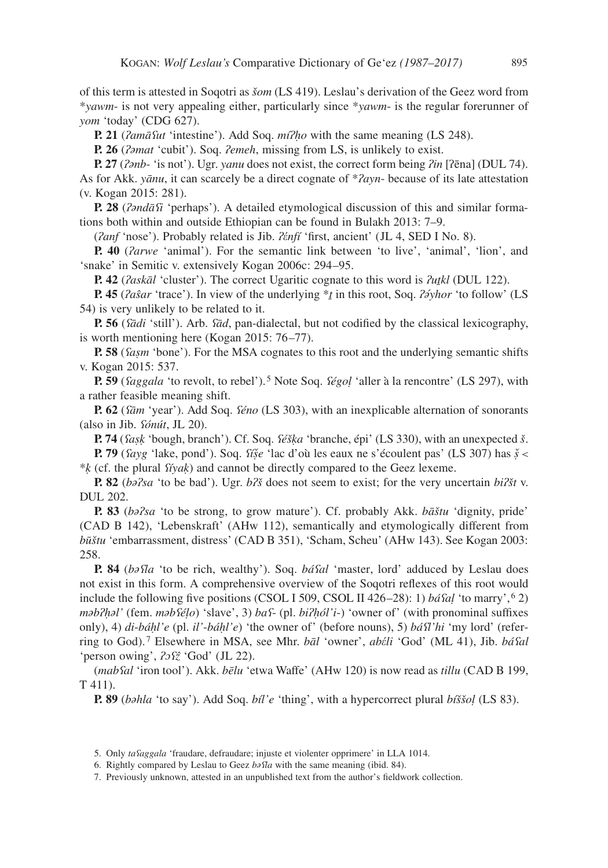of this term is attested in Soqotri as *šom* (LS 419). Leslau's derivation of the Geez word from \**yawm*- is not very appealing either, particularly since \**yawm*- is the regular forerunner of *yom* 'today' (CDG 627).

**P. 21** (*ʔamāʕut* 'intestine'). Add Soq. *míʔḥo* with the same meaning (LS 248).

**P. 26** (*ʔəmat* 'cubit'). Soq. *ʔemeh*, missing from LS, is unlikely to exist.

**P. 27** (*ʔənb*- 'is not'). Ugr. *yanu* does not exist, the correct form being *ʔin* [ʔēna] (DUL 74). As for Akk. *yānu*, it can scarcely be a direct cognate of \**ʔayn*- because of its late attestation (v. Kogan 2015: 281).

**P. 28** (*ʔəndāʕi* 'perhaps'). A detailed etymological discussion of this and similar formations both within and outside Ethiopian can be found in Bulakh 2013: 7–9.

(*ʔanf* 'nose'). Probably related is Jib. *ʔέnfí* 'first, ancient' (JL 4, SED I No. 8).

**P. 40** (*ʔarwe* 'animal'). For the semantic link between 'to live', 'animal', 'lion', and 'snake' in Semitic v. extensively Kogan 2006c: 294–95.

**P. 42** (*ʔaskāl* 'cluster'). The correct Ugaritic cognate to this word is *<i>lutkl* (DUL 122).

**P. 45** (*ʔaŝar* 'trace'). In view of the underlying \**ṯ* in this root, Soq. *ʔə́yhor* 'to follow' (LS 54) is very unlikely to be related to it.

**P. 56** (*ʕādi* 'still'). Arb. *ʕād*, pan-dialectal, but not codified by the classical lexicography, is worth mentioning here (Kogan 2015: 76–77).

**P. 58** (*ʕaṣm* 'bone'). For the MSA cognates to this root and the underlying semantic shifts v. Kogan 2015: 537.

**P. 59** (*ʕaggala* 'to revolt, to rebel').5 Note Soq. *ʕégoḷ* 'aller à la rencontre' (LS 297), with a rather feasible meaning shift.

**P. 62** (*ʕām* 'year'). Add Soq. *ʕéno* (LS 303), with an inexplicable alternation of sonorants (also in Jib. *ʕónút*, JL 20).

**P. 74** (*ʕaṣḳ* 'bough, branch'). Cf. Soq. *ʕéšḳa* 'branche, épi' (LS 330), with an unexpected *š*.

**P. 79** (*fayg* 'lake, pond'). Soq. *fíṣ̃e* 'lac d'où les eaux ne s'écoulent pas' (LS 307) has  $\check{\rm g}$  < \**ḳ* (cf. the plural *ʕíyaḳ*) and cannot be directly compared to the Geez lexeme.

**P. 82** (*bəʔsa* 'to be bad'). Ugr. *bʔš* does not seem to exist; for the very uncertain *biʔšt* v. DUL 202.

**P. 83** (*bəʔsa* 'to be strong, to grow mature'). Cf. probably Akk. *bāštu* 'dignity, pride' (CAD B 142), 'Lebenskraft' (AHw 112), semantically and etymologically different from *būštu* 'embarrassment, distress' (CAD B 351), 'Scham, Scheu' (AHw 143). See Kogan 2003: 258.

**P. 84** (*bəʕla* 'to be rich, wealthy'). Soq. *báʕal* 'master, lord' adduced by Leslau does not exist in this form. A comprehensive overview of the Soqotri reflexes of this root would include the following five positions (CSOL I 509, CSOL II 426–28): 1) *báʕaḷ* 'to marry', 6 2) *məbʔḥəl'* (fem. *məbʕéḷo*) 'slave', 3) *baʕ*- (pl. *biʔḥól'i*-) 'owner of' (with pronominal suffixes only), 4) *di*-*báḥl'e* (pl. *il'*-*báḥl'e*) 'the owner of' (before nouns), 5) *báʕl'hi* 'my lord' (referring to God). 7 Elsewhere in MSA, see Mhr. *bāl* 'owner', *abέli* 'God' (ML 41), Jib. *báʕal* 'person owing', *ʔɔʕzˆ* 'God' (JL 22).

(*mabʕal* 'iron tool'). Akk. *bēlu* 'etwa Waffe' (AHw 120) is now read as *tillu* (CAD B 199, T 411).

**P. 89** (*bəhla* 'to say'). Add Soq. *bíl'e* 'thing', with a hypercorrect plural *bíššoḷ* (LS 83).

- 5. Only *taʕaggala* 'fraudare, defraudare; injuste et violenter opprimere' in LLA 1014.
- 6. Rightly compared by Leslau to Geez *bəʕla* with the same meaning (ibid. 84).
- 7. Previously unknown, attested in an unpublished text from the author's fieldwork collection.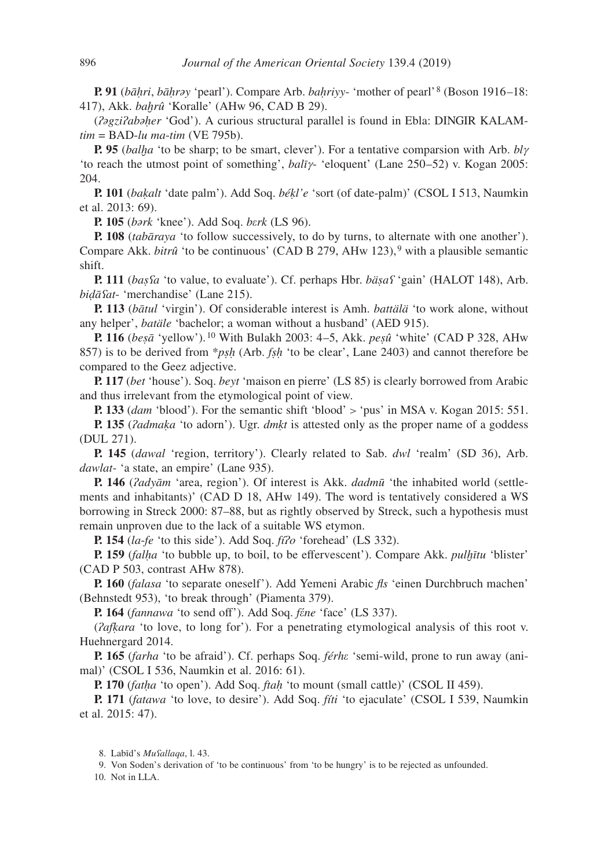**P. 91** (*bāḥri*, *bāḥrəy* 'pearl'). Compare Arb. *baḥriyy*- 'mother of pearl' 8 (Boson 1916–18: 417), Akk. *baḫrû* 'Koralle' (AHw 96, CAD B 29).

(*ʔəgziʔabəḥer* 'God'). A curious structural parallel is found in Ebla: DINGIR KALAM*tim* = BAD-*lu ma*-*tim* (VE 795b).

**P. 95** (*balḫa* 'to be sharp; to be smart, clever'). For a tentative comparsion with Arb. *blγ*  'to reach the utmost point of something', *balīγ*- 'eloquent' (Lane 250–52) v. Kogan 2005: 204.

**P. 101** (*baḳalt* 'date palm'). Add Soq. *béḳl'e* 'sort (of date-palm)' (CSOL I 513, Naumkin et al. 2013: 69).

**P. 105** (*bərk* 'knee'). Add Soq. *bεrk* (LS 96).

**P. 108** (*tabāraya* 'to follow successively, to do by turns, to alternate with one another'). Compare Akk. *bitrû* 'to be continuous' (CAD B 279, AHw 123), 9 with a plausible semantic shift.

**P. 111** (*baṣʕa* 'to value, to evaluate'). Cf. perhaps Hbr. *bäṣaʕ* 'gain' (HALOT 148), Arb. *biḍāʕat*- 'merchandise' (Lane 215).

**P. 113** (*bātul* 'virgin'). Of considerable interest is Amh. *battälä* 'to work alone, without any helper', *batäle* 'bachelor; a woman without a husband' (AED 915).

**P. 116** (*beṣā* 'yellow'). 10 With Bulakh 2003: 4–5, Akk. *peṣû* 'white' (CAD P 328, AHw 857) is to be derived from \**pṣḥ* (Arb. *fṣḥ* 'to be clear', Lane 2403) and cannot therefore be compared to the Geez adjective.

**P. 117** (*bet* 'house'). Soq. *beyt* 'maison en pierre' (LS 85) is clearly borrowed from Arabic and thus irrelevant from the etymological point of view.

**P. 133** (*dam* 'blood'). For the semantic shift 'blood' > 'pus' in MSA v. Kogan 2015: 551.

**P. 135** (*ʔadmaḳa* 'to adorn'). Ugr. *dmḳt* is attested only as the proper name of a goddess (DUL 271).

**P. 145** (*dawal* 'region, territory'). Clearly related to Sab. *dwl* 'realm' (SD 36), Arb. *dawlat*- 'a state, an empire' (Lane 935).

**P. 146** (*ʔadyām* 'area, region'). Of interest is Akk. *dadmū* 'the inhabited world (settlements and inhabitants)' (CAD D 18, AHw 149). The word is tentatively considered a WS borrowing in Streck 2000: 87–88, but as rightly observed by Streck, such a hypothesis must remain unproven due to the lack of a suitable WS etymon.

**P. 154** (*la*-*fe* 'to this side'). Add Soq. *fíʔo* 'forehead' (LS 332).

**P. 159** (*falḥa* 'to bubble up, to boil, to be effervescent'). Compare Akk. *pulḫītu* 'blister' (CAD P 503, contrast AHw 878).

**P. 160** (*falasa* 'to separate oneself'). Add Yemeni Arabic *fls* 'einen Durchbruch machen' (Behnstedt 953), 'to break through' (Piamenta 379).

**P. 164** (*fannawa* 'to send off'). Add Soq. *fέne* 'face' (LS 337).

(*ʔafḳara* 'to love, to long for'). For a penetrating etymological analysis of this root v. Huehnergard 2014.

**P. 165** (*farha* 'to be afraid'). Cf. perhaps Soq. *férhε* 'semi-wild, prone to run away (animal)' (CSOL I 536, Naumkin et al. 2016: 61).

**P. 170** (*fatḥa* 'to open'). Add Soq. *ftaḥ* 'to mount (small cattle)' (CSOL II 459).

**P. 171** (*fatawa* 'to love, to desire'). Add Soq. *fíti* 'to ejaculate' (CSOL I 539, Naumkin et al. 2015: 47).

10. Not in LLA.

<sup>8.</sup> Labīd's *Muʕallaqa*, l. 43.

<sup>9.</sup> Von Soden's derivation of 'to be continuous' from 'to be hungry' is to be rejected as unfounded.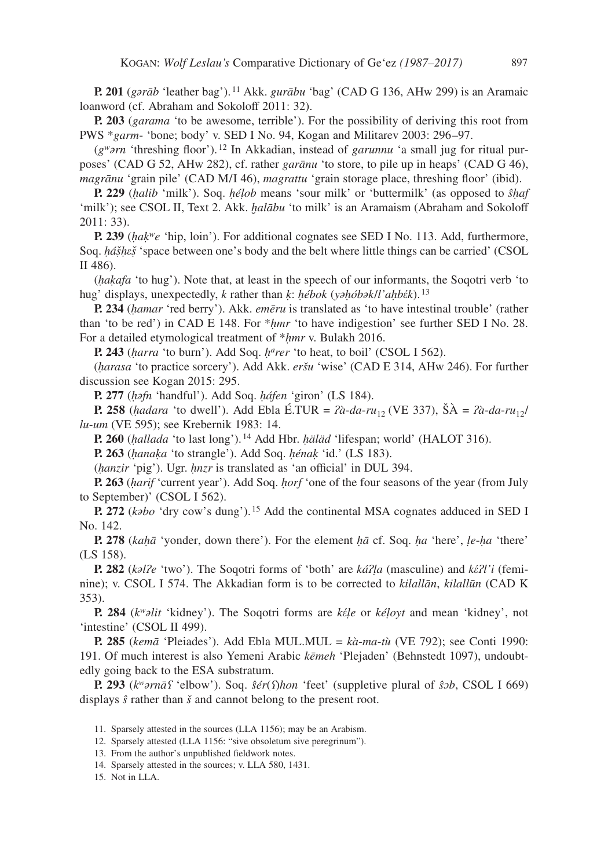**P. 201** (*gərāb* 'leather bag'). 11 Akk. *gurābu* 'bag' (CAD G 136, AHw 299) is an Aramaic loanword (cf. Abraham and Sokoloff 2011: 32).

**P. 203** (*garama* 'to be awesome, terrible'). For the possibility of deriving this root from PWS \**garm*- 'bone; body' v. SED I No. 94, Kogan and Militarev 2003: 296–97.

(*gwərn* 'threshing floor'). 12 In Akkadian, instead of *garunnu* 'a small jug for ritual purposes' (CAD G 52, AHw 282), cf. rather *garānu* 'to store, to pile up in heaps' (CAD G 46), *magrānu* 'grain pile' (CAD M/I 46), *magrattu* 'grain storage place, threshing floor' (ibid).

**P. 229** (*ḥalib* 'milk'). Soq. *ḥéḷob* means 'sour milk' or 'buttermilk' (as opposed to *ŝḥaf* 'milk'); see CSOL II, Text 2. Akk. *ḫalābu* 'to milk' is an Aramaism (Abraham and Sokoloff 2011: 33).

**P. 239** (*ḥaḳwe* 'hip, loin'). For additional cognates see SED I No. 113. Add, furthermore, Soq. *hášhεξ* 'space between one's body and the belt where little things can be carried' (CSOL II 486).

(*ḥaḳafa* 'to hug'). Note that, at least in the speech of our informants, the Soqotri verb 'to hug' displays, unexpectedly, *k* rather than *ḳ*: *ḥébok* (*yəḥóbək*/*l'aḥbέk*). <sup>13</sup>

**P. 234** (*ḥamar* 'red berry'). Akk. *emēru* is translated as 'to have intestinal trouble' (rather than 'to be red') in CAD E 148. For \**ḥmr* 'to have indigestion' see further SED I No. 28. For a detailed etymological treatment of \**ḥmr* v. Bulakh 2016.

**P. 243** (*ḥarra* 'to burn'). Add Soq. *ḥarer* 'to heat, to boil' (CSOL I 562).

(*ḥarasa* 'to practice sorcery'). Add Akk. *eršu* 'wise' (CAD E 314, AHw 246). For further discussion see Kogan 2015: 295.

**P. 277** (*ḥəfn* 'handful'). Add Soq. *ḥáfen* 'giron' (LS 184).

**P.** 258 (*hadara* 'to dwell'). Add Ebla É.TUR =  $\hat{i}$ *a*-*da*-*ru*<sub>12</sub> (VE 337), Š $\hat{A}$  =  $\hat{i}$ *a*-*da*-*ru*<sub>12</sub>/ *lu*-*um* (VE 595); see Krebernik 1983: 14.

**P. 260** (*ḥallada* 'to last long'). 14 Add Hbr. *ḥäläd* 'lifespan; world' (HALOT 316).

**P. 263** (*ḥanaḳa* 'to strangle'). Add Soq. *ḥénaḳ* 'id.' (LS 183).

(*ḥanzir* 'pig'). Ugr. *ḥnzr* is translated as 'an official' in DUL 394.

**P. 263** (*ḥarif* 'current year'). Add Soq. *ḥorf* 'one of the four seasons of the year (from July to September)' (CSOL I 562).

**P.** 272 (*kəbo* 'dry cow's dung').<sup>15</sup> Add the continental MSA cognates adduced in SED I No. 142.

**P. 278** (*kaḥā* 'yonder, down there'). For the element *ḥā* cf. Soq. *ḥa* 'here', *ḷe*-*ḥa* 'there' (LS 158).

**P. 282** (*kəlʔe* 'two'). The Soqotri forms of 'both' are *káʔḷa* (masculine) and *kέʔl'i* (feminine); v. CSOL I 574. The Akkadian form is to be corrected to *kilallān*, *kilallūn* (CAD K 353).

**P. 284** (*kwəlit* 'kidney'). The Soqotri forms are *kέḷe* or *kéḷoyt* and mean 'kidney', not 'intestine' (CSOL II 499).

**P. 285** (*kemā* 'Pleiades'). Add Ebla MUL.MUL = *kà*-*ma*-*tù* (VE 792); see Conti 1990: 191. Of much interest is also Yemeni Arabic *kēmeh* 'Plejaden' (Behnstedt 1097), undoubtedly going back to the ESA substratum.

**P. 293** (*kwərnāʕ* 'elbow'). Soq. *ŝér*(*ʕ*)*hon* 'feet' (suppletive plural of *ŝɔb*, CSOL I 669) displays *ŝ* rather than *š* and cannot belong to the present root.

12. Sparsely attested (LLA 1156: "sive obsoletum sive peregrinum").

13. From the author's unpublished fieldwork notes.

14. Sparsely attested in the sources; v. LLA 580, 1431.

15. Not in LLA.

<sup>11.</sup> Sparsely attested in the sources (LLA 1156); may be an Arabism.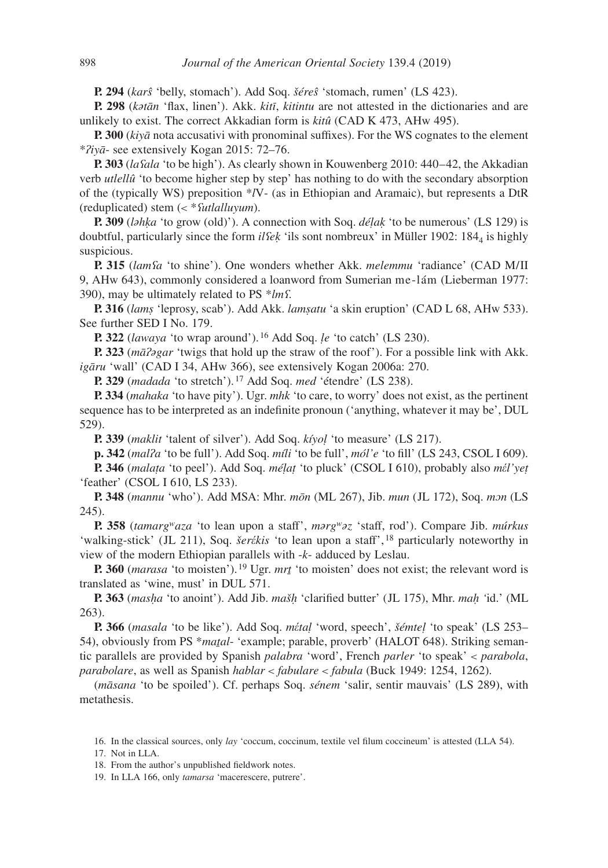**P. 294** (*karŝ* 'belly, stomach'). Add Soq. *šéreŝ* 'stomach, rumen' (LS 423).

**P. 298** (*kətān* 'flax, linen'). Akk. *kitī*, *kitintu* are not attested in the dictionaries and are unlikely to exist. The correct Akkadian form is *kitû* (CAD K 473, AHw 495).

**P. 300** (*kiyā* nota accusativi with pronominal suffixes). For the WS cognates to the element \**ʔiyā*- see extensively Kogan 2015: 72–76.

**P. 303** (*laʕala* 'to be high'). As clearly shown in Kouwenberg 2010: 440–42, the Akkadian verb *utlellû* 'to become higher step by step' has nothing to do with the secondary absorption of the (typically WS) preposition \**l*V- (as in Ethiopian and Aramaic), but represents a DtR (reduplicated) stem (< \**ʕutlalluyum*).

**P. 309** (*ləhḳa* 'to grow (old)'). A connection with Soq. *déḷaḳ* 'to be numerous' (LS 129) is doubtful, particularly since the form *ilʕeḳ* 'ils sont nombreux' in Müller 1902: 1844 is highly suspicious.

**P. 315** (*lamʕa* 'to shine'). One wonders whether Akk. *melemmu* 'radiance' (CAD M/II 9, AHw 643), commonly considered a loanword from Sumerian me-lám (Lieberman 1977: 390), may be ultimately related to PS \**lmʕ*.

**P. 316** (*lamṣ* 'leprosy, scab'). Add Akk. *lamṣatu* 'a skin eruption' (CAD L 68, AHw 533). See further SED I No. 179.

**P. 322** (*lawaya* 'to wrap around'). 16 Add Soq. *ḷe* 'to catch' (LS 230).

**P. 323** (*māʔəgar* 'twigs that hold up the straw of the roof'). For a possible link with Akk. *igāru* 'wall' (CAD I 34, AHw 366), see extensively Kogan 2006a: 270.

**P. 329** (*madada* 'to stretch'). 17 Add Soq. *med* 'étendre' (LS 238).

**P. 334** (*mahaka* 'to have pity'). Ugr. *mhk* 'to care, to worry' does not exist, as the pertinent sequence has to be interpreted as an indefinite pronoun ('anything, whatever it may be', DUL 529).

**P. 339** (*maklit* 'talent of silver'). Add Soq. *kíyoḷ* 'to measure' (LS 217).

**p. 342** (*malʔa* 'to be full'). Add Soq. *míli* 'to be full', *mól'e* 'to fill' (LS 243, CSOL I 609).

**P. 346** (*malaṭa* 'to peel'). Add Soq. *méḷaṭ* 'to pluck' (CSOL I 610), probably also *mέl'yeṭ* 'feather' (CSOL I 610, LS 233).

**P. 348** (*mannu* 'who'). Add MSA: Mhr. *mōn* (ML 267), Jib. *mun* (JL 172), Soq. *mɔn* (LS 245).

**P. 358** (*tamargwaza* 'to lean upon a staff', *mərgwəz* 'staff, rod'). Compare Jib. *múrkus* 'walking-stick' (JL 211), Soq. *šerέkis* 'to lean upon a staff', 18 particularly noteworthy in view of the modern Ethiopian parallels with -*k*- adduced by Leslau.

**P. 360** (*marasa* 'to moisten'). 19 Ugr. *mrṯ* 'to moisten' does not exist; the relevant word is translated as 'wine, must' in DUL 571.

**P. 363** (*masḥa* 'to anoint'). Add Jib. *mašḥ* 'clarified butter' (JL 175), Mhr. *maḥ '*id.' (ML 263).

**P. 366** (*masala* 'to be like'). Add Soq. *mέtaḷ* 'word, speech', *šémteḷ* 'to speak' (LS 253– 54), obviously from PS \**maṯal*- 'example; parable, proverb' (HALOT 648). Striking semantic parallels are provided by Spanish *palabra* 'word', French *parler* 'to speak' < *parabola*, *parabolare*, as well as Spanish *hablar* < *fabulare* < *fabula* (Buck 1949: 1254, 1262).

(*māsana* 'to be spoiled'). Cf. perhaps Soq. *sénem* 'salir, sentir mauvais' (LS 289), with metathesis.

17. Not in LLA.

18. From the author's unpublished fieldwork notes.

19. In LLA 166, only *tamarsa* 'macerescere, putrere'.

<sup>16.</sup> In the classical sources, only *lay* 'coccum, coccinum, textile vel filum coccineum' is attested (LLA 54).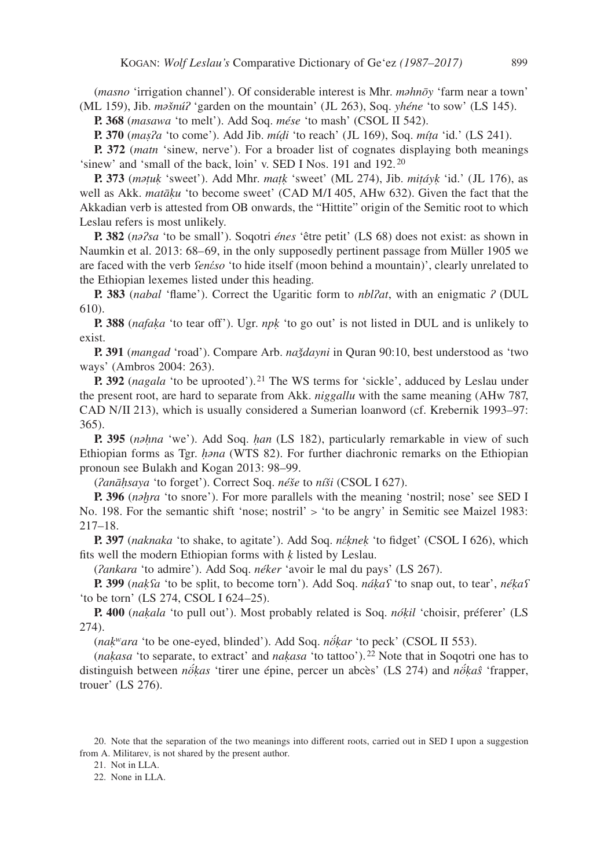(*masno* 'irrigation channel'). Of considerable interest is Mhr. *məhnōy* 'farm near a town' (ML 159), Jib. *məšnúʔ* 'garden on the mountain' (JL 263), Soq. *yhéne* 'to sow' (LS 145).

**P. 368** (*masawa* 'to melt'). Add Soq. *mése* 'to mash' (CSOL II 542).

**P. 370** (*maṣʔa* 'to come'). Add Jib. *míḍi* 'to reach' (JL 169), Soq. *míṭa* 'id.' (LS 241).

**P. 372** (*matn* 'sinew, nerve'). For a broader list of cognates displaying both meanings 'sinew' and 'small of the back, loin' v. SED I Nos. 191 and 192.<sup>20</sup>

**P. 373** (*məṭuḳ* 'sweet'). Add Mhr. *maṭḳ* 'sweet' (ML 274), Jib. *miṭáyḳ* 'id.' (JL 176), as well as Akk. *matāḳu* 'to become sweet' (CAD M/I 405, AHw 632). Given the fact that the Akkadian verb is attested from OB onwards, the "Hittite" origin of the Semitic root to which Leslau refers is most unlikely.

**P. 382** (*nəʔsa* 'to be small'). Soqotri *énes* 'être petit' (LS 68) does not exist: as shown in Naumkin et al. 2013: 68–69, in the only supposedly pertinent passage from Müller 1905 we are faced with the verb *ʕenέso* 'to hide itself (moon behind a mountain)', clearly unrelated to the Ethiopian lexemes listed under this heading.

**P. 383** (*nabal* 'flame'). Correct the Ugaritic form to *nblʔat*, with an enigmatic *ʔ* (DUL 610).

**P. 388** (*nafaḳa* 'to tear off'). Ugr. *npḳ* 'to go out' is not listed in DUL and is unlikely to exist.

**P. 391** (*mangad* 'road'). Compare Arb. *naǯdayni* in Quran 90:10, best understood as 'two ways' (Ambros 2004: 263).

**P. 392** (*nagala* 'to be uprooted').<sup>21</sup> The WS terms for 'sickle', adduced by Leslau under the present root, are hard to separate from Akk. *niggallu* with the same meaning (AHw 787, CAD N/II 213), which is usually considered a Sumerian loanword (cf. Krebernik 1993–97: 365).

**P. 395** (*nəḥna* 'we'). Add Soq. *ḥan* (LS 182), particularly remarkable in view of such Ethiopian forms as Tgr. *ḥəna* (WTS 82). For further diachronic remarks on the Ethiopian pronoun see Bulakh and Kogan 2013: 98–99.

(*ʔanāḥsaya* 'to forget'). Correct Soq. *néše* to *níši* (CSOL I 627).

**P. 396** (*nəḫra* 'to snore'). For more parallels with the meaning 'nostril; nose' see SED I No. 198. For the semantic shift 'nose; nostril' > 'to be angry' in Semitic see Maizel 1983: 217–18.

**P. 397** (*naknaka* 'to shake, to agitate'). Add Soq. *nέḳneḳ* 'to fidget' (CSOL I 626), which fits well the modern Ethiopian forms with *ḳ* listed by Leslau.

(*ʔankara* 'to admire'). Add Soq. *néker* 'avoir le mal du pays' (LS 267).

**P. 399** (*naḳʕa* 'to be split, to become torn'). Add Soq. *náḳaʕ* 'to snap out, to tear', *néḳaʕ* 'to be torn' (LS 274, CSOL I 624–25).

**P. 400** (*naḳala* 'to pull out'). Most probably related is Soq. *nóḳil* 'choisir, préferer' (LS 274).

(*naḳwara* 'to be one-eyed, blinded'). Add Soq. *nö́ ḳar* 'to peck' (CSOL II 553).

(*naḳasa* 'to separate, to extract' and *naḳasa* 'to tattoo'). 22 Note that in Soqotri one has to distinguish between *nö́ ḳas* 'tirer une épine, percer un abcès' (LS 274) and *nö́ ḳaŝ* 'frapper, trouer' (LS 276).

<sup>20.</sup> Note that the separation of the two meanings into different roots, carried out in SED I upon a suggestion from A. Militarev, is not shared by the present author.

<sup>21.</sup> Not in LLA.

<sup>22.</sup> None in LLA.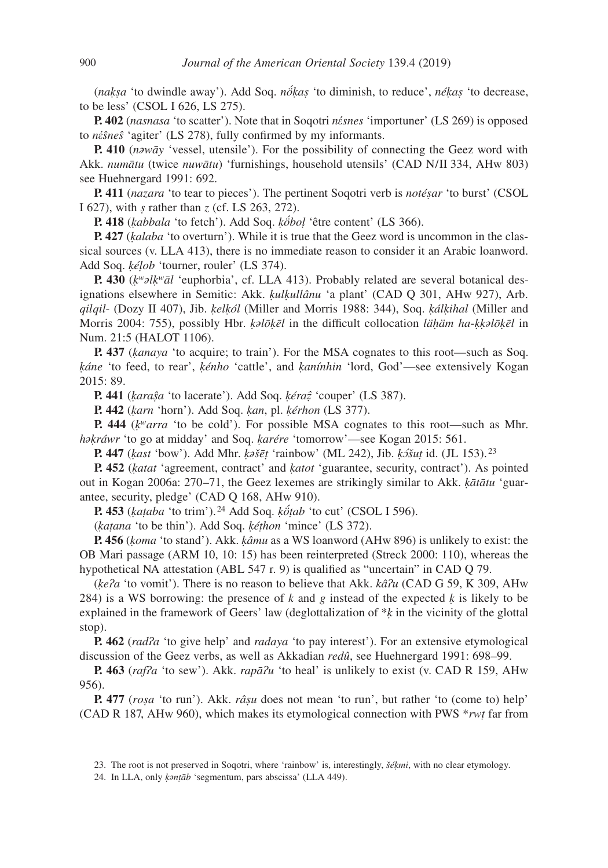(*naḳṣa* 'to dwindle away'). Add Soq. *nö́ ḳaṣ* 'to diminish, to reduce', *néḳaṣ* 'to decrease, to be less' (CSOL I 626, LS 275).

**P. 402** (*nasnasa* 'to scatter'). Note that in Soqotri *nέsnes* 'importuner' (LS 269) is opposed to *nέŝneŝ* 'agiter' (LS 278), fully confirmed by my informants.

**P. 410** (*nəwāy* 'vessel, utensile'). For the possibility of connecting the Geez word with Akk. *numātu* (twice *nuwātu*) 'furnishings, household utensils' (CAD N/II 334, AHw 803) see Huehnergard 1991: 692.

**P. 411** (*nazara* 'to tear to pieces'). The pertinent Soqotri verb is *notéṣar* 'to burst' (CSOL I 627), with *ṣ* rather than *z* (cf. LS 263, 272).

**P. 418** (*ḳabbala* 'to fetch'). Add Soq. *ḳö́ boḷ* 'être content' (LS 366).

**P. 427** (*ḳalaba* 'to overturn'). While it is true that the Geez word is uncommon in the classical sources (v. LLA 413), there is no immediate reason to consider it an Arabic loanword. Add Soq. *ḳéḷob* 'tourner, rouler' (LS 374).

**P. 430** (*ḳwəlḳwāl* 'euphorbia', cf. LLA 413). Probably related are several botanical designations elsewhere in Semitic: Akk. *ḳulḳullânu* 'a plant' (CAD Q 301, AHw 927), Arb. *qilqil*- (Dozy II 407), Jib. *ḳelḳól* (Miller and Morris 1988: 344), Soq. *ḳálḳihal* (Miller and Morris 2004: 755), possibly Hbr. *ḳəlōḳēl* in the difficult collocation *läḥäm ha*-*ḳḳəlōḳēl* in Num. 21:5 (HALOT 1106).

**P. 437** (*ḳanaya* 'to acquire; to train'). For the MSA cognates to this root—such as Soq. *ḳáne* 'to feed, to rear', *ḳénho* 'cattle', and *ḳanínhin* 'lord, God'—see extensively Kogan 2015: 89.

**P. 441** (*ḳaraṣˆa* 'to lacerate'). Add Soq. *ḳéraẓ̂*'couper' (LS 387).

**P. 442** (*ḳarn* 'horn'). Add Soq. *ḳan*, pl. *ḳérhon* (LS 377).

**P. 444** (*ḳwarra* 'to be cold'). For possible MSA cognates to this root—such as Mhr. *həḳráwr* 'to go at midday' and Soq. *ḳarére* 'tomorrow'—see Kogan 2015: 561.

**P. 447** (*ḳast* 'bow'). Add Mhr. *ḳəšēṭ* 'rainbow' (ML 242), Jib. *ḳɔ́šuṭ* id. (JL 153). <sup>23</sup>

**P. 452** (*ḳatat* 'agreement, contract' and *ḳatot* 'guarantee, security, contract'). As pointed out in Kogan 2006a: 270–71, the Geez lexemes are strikingly similar to Akk. *ḳātātu* 'guarantee, security, pledge' (CAD Q 168, AHw 910).

**P. 453** (*ḳaṭaba* 'to trim'). 24 Add Soq. *ḳö́ ṭab* 'to cut' (CSOL I 596).

(*ḳaṭana* 'to be thin'). Add Soq. *ḳéṭhon* 'mince' (LS 372).

**P. 456** (*ḳoma* 'to stand'). Akk. *ḳâmu* as a WS loanword (AHw 896) is unlikely to exist: the OB Mari passage (ARM 10, 10: 15) has been reinterpreted (Streck 2000: 110), whereas the hypothetical NA attestation (ABL 547 r. 9) is qualified as "uncertain" in CAD Q 79.

(*ḳeʔa* 'to vomit'). There is no reason to believe that Akk. *kâʔu* (CAD G 59, K 309, AHw 284) is a WS borrowing: the presence of *k* and *g* instead of the expected *ḳ* is likely to be explained in the framework of Geers' law (deglottalization of \**ḳ* in the vicinity of the glottal stop).

**P. 462** (*radʔa* 'to give help' and *radaya* 'to pay interest'). For an extensive etymological discussion of the Geez verbs, as well as Akkadian *redû*, see Huehnergard 1991: 698–99.

**P. 463** (*rafʔa* 'to sew'). Akk. *rapāʔu* 'to heal' is unlikely to exist (v. CAD R 159, AHw 956).

**P. 477** (*roṣa* 'to run'). Akk. *râṣu* does not mean 'to run', but rather 'to (come to) help' (CAD R 187, AHw 960), which makes its etymological connection with PWS \**rwṭ* far from

<sup>23.</sup> The root is not preserved in Soqotri, where 'rainbow' is, interestingly, *šéḳmi*, with no clear etymology.

<sup>24.</sup> In LLA, only *ḳənṭāb* 'segmentum, pars abscissa' (LLA 449).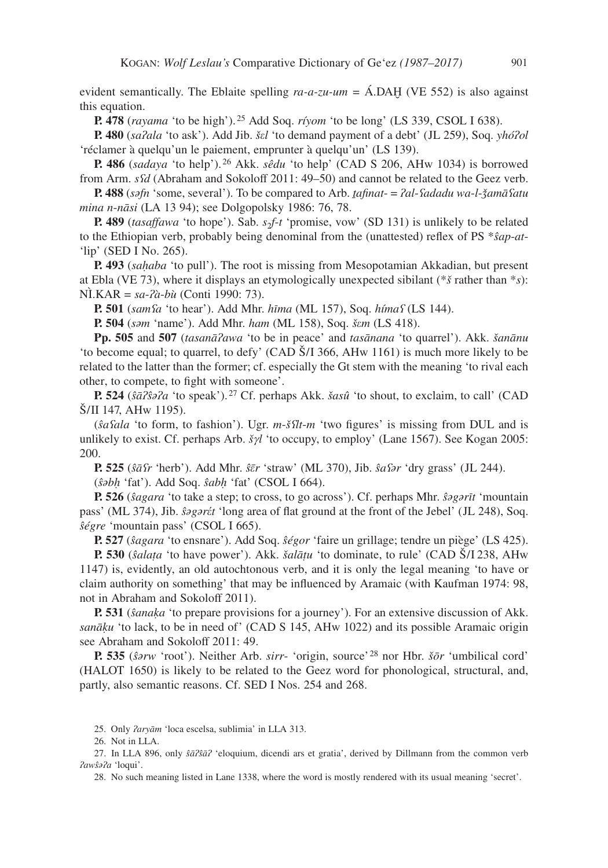evident semantically. The Eblaite spelling *ra-a-zu-um =* Á.DAḪ (VE 552) is also against this equation.

**P. 478** (*rayama* 'to be high'). 25 Add Soq. *ríyom* 'to be long' (LS 339, CSOL I 638).

**P. 480** (*saʔala* 'to ask'). Add Jib. *šεl* 'to demand payment of a debt' (JL 259), Soq. *yhóʔol* 'réclamer à quelqu'un le paiement, emprunter à quelqu'un' (LS 139).

**P. 486** (*sadaya* 'to help'). 26 Akk. *sêdu* 'to help' (CAD S 206, AHw 1034) is borrowed from Arm. *sʕd* (Abraham and Sokoloff 2011: 49–50) and cannot be related to the Geez verb.

**P. 488** (*safn* 'some, several'). To be compared to Arb. *ṯafinat* = *ʔal-fadadu wa-l-ǯamā fatu mina n*-*nāsi* (LA 13 94); see Dolgopolsky 1986: 76, 78.

**P. 489** (*tasaffawa* 'to hope'). Sab. *s*<sub>2</sub>*f*-*t* 'promise, vow' (SD 131) is unlikely to be related to the Ethiopian verb, probably being denominal from the (unattested) reflex of PS \**ŝap*-*at*- 'lip' (SED I No. 265).

**P. 493** (*saḥaba* 'to pull'). The root is missing from Mesopotamian Akkadian, but present at Ebla (VE 73), where it displays an etymologically unexpected sibilant (\**š* rather than \**s*): NÌ.KAR = *sa*-*ʔà*-*bù* (Conti 1990: 73).

**P. 501** (*samʕa* 'to hear'). Add Mhr. *hīma* (ML 157), Soq. *hímaʕ* (LS 144).

**P. 504** (*səm* 'name'). Add Mhr. *ham* (ML 158), Soq. *šεm* (LS 418).

**Pp. 505** and **507** (*tasanāʔawa* 'to be in peace' and *tasānana* 'to quarrel'). Akk. *šanānu*  'to become equal; to quarrel, to defy' (CAD Š/I 366, AHw 1161) is much more likely to be related to the latter than the former; cf. especially the Gt stem with the meaning 'to rival each other, to compete, to fight with someone'.

**P. 524** (*ŝāʔŝəʔa* 'to speak'). 27 Cf. perhaps Akk. *šasû* 'to shout, to exclaim, to call' (CAD Š/II 147, AHw 1195).

(*ŝaʕala* 'to form, to fashion'). Ugr. *m*-*šʕlt*-*m* 'two figures' is missing from DUL and is unlikely to exist. Cf. perhaps Arb. *šγl* 'to occupy, to employ' (Lane 1567). See Kogan 2005: 200.

**P. 525** (*ŝāʕr* 'herb'). Add Mhr. *ŝ̄εr* 'straw' (ML 370), Jib. *ŝaʕər* 'dry grass' (JL 244). (*ŝəbḥ* 'fat'). Add Soq. *ŝabḥ* 'fat' (CSOL I 664).

**P. 526** (*ŝagara* 'to take a step; to cross, to go across'). Cf. perhaps Mhr. *ŝəgərīt* 'mountain pass' (ML 374), Jib. *ŝəgərέt* 'long area of flat ground at the front of the Jebel' (JL 248), Soq. *ŝégre* 'mountain pass' (CSOL I 665).

**P. 527** (*ŝagara* 'to ensnare'). Add Soq. *ŝégor* 'faire un grillage; tendre un piège' (LS 425).

**P. 530** (*ŝalaṭa* 'to have power'). Akk. *šalāṭu* 'to dominate, to rule' (CAD Š/I 238, AHw 1147) is, evidently, an old autochtonous verb, and it is only the legal meaning 'to have or claim authority on something' that may be influenced by Aramaic (with Kaufman 1974: 98, not in Abraham and Sokoloff 2011).

**P. 531** (*ŝanaḳa* 'to prepare provisions for a journey'). For an extensive discussion of Akk. *sanāḳu* 'to lack, to be in need of' (CAD S 145, AHw 1022) and its possible Aramaic origin see Abraham and Sokoloff 2011: 49.

**P. 535** (*ŝərw* 'root'). Neither Arb. *sirr*- 'origin, source'28 nor Hbr. *šōr* 'umbilical cord' (HALOT 1650) is likely to be related to the Geez word for phonological, structural, and, partly, also semantic reasons. Cf. SED I Nos. 254 and 268.

26. Not in LLA.

<sup>25.</sup> Only *ʔaryām* 'loca escelsa, sublimia' in LLA 313.

<sup>27.</sup> In LLA 896, only *ŝāʔŝāʔ* 'eloquium, dicendi ars et gratia', derived by Dillmann from the common verb *ʔawŝəʔa* 'loqui'.

<sup>28.</sup> No such meaning listed in Lane 1338, where the word is mostly rendered with its usual meaning 'secret'.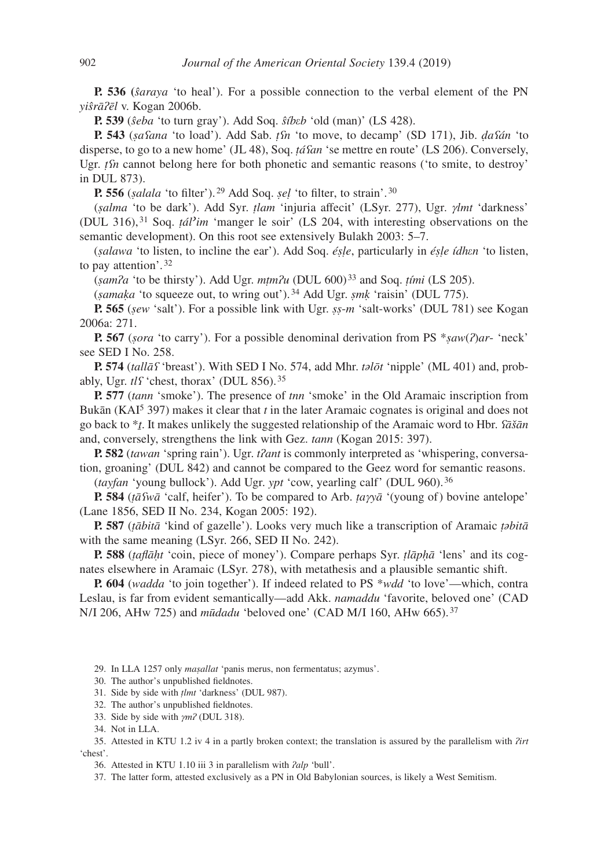**P. 536 (***ŝaraya* 'to heal'). For a possible connection to the verbal element of the PN *yiŝrāʔēl* v. Kogan 2006b.

**P. 539** (*ŝeba* 'to turn gray'). Add Soq. *ŝíbεb* 'old (man)' (LS 428).

**P. 543** (*ṣaʕana* 'to load'). Add Sab. *ṭʕn* 'to move, to decamp' (SD 171), Jib. *ḍaʕán* 'to disperse, to go to a new home' (JL 48), Soq. *ṭáʕan* 'se mettre en route' (LS 206). Conversely, Ugr. *t'in* cannot belong here for both phonetic and semantic reasons ('to smite, to destroy' in DUL 873).

**P. 556** (*ṣalala* 'to filter'). 29 Add Soq. *ṣeḷ* 'to filter, to strain'. <sup>30</sup>

(*ṣalma* 'to be dark'). Add Syr. *ṭlam* 'injuria affecit' (LSyr. 277), Ugr. *γlmt* 'darkness' (DUL 316), 31 Soq. *ṭálʾim* 'manger le soir' (LS 204, with interesting observations on the semantic development). On this root see extensively Bulakh 2003: 5–7.

(*ṣalawa* 'to listen, to incline the ear'). Add Soq. *éṣḷe*, particularly in *éṣḷe ídhεn* 'to listen, to pay attention'. <sup>32</sup>

(*ṣamʔa* 'to be thirsty'). Add Ugr. *mṭmʔu* (DUL 600) 33 and Soq. *ṭími* (LS 205).

(*ṣamaḳa* 'to squeeze out, to wring out'). 34 Add Ugr. *ṣmḳ* 'raisin' (DUL 775).

**P. 565** (*ṣew* 'salt'). For a possible link with Ugr. *ṣṣ*-*m* 'salt-works' (DUL 781) see Kogan 2006a: 271.

**P. 567** (*ṣora* 'to carry'). For a possible denominal derivation from PS \**ṣaw*(*ʔ*)*ar*- 'neck' see SED I No. 258.

**P. 574** (*tallāʕ* 'breast'). With SED I No. 574, add Mhr. *təlōt* 'nipple' (ML 401) and, probably, Ugr. *tlʕ* 'chest, thorax' (DUL 856). <sup>35</sup>

**P. 577** (*tann* 'smoke'). The presence of *tnn* 'smoke' in the Old Aramaic inscription from Bukān (KAI5 397) makes it clear that *t* in the later Aramaic cognates is original and does not go back to \**ṯ*. It makes unlikely the suggested relationship of the Aramaic word to Hbr. *ʕāšān* and, conversely, strengthens the link with Gez. *tann* (Kogan 2015: 397).

**P. 582** (*tawan* 'spring rain'). Ugr. *tʔant* is commonly interpreted as 'whispering, conversation, groaning' (DUL 842) and cannot be compared to the Geez word for semantic reasons.

(*tayfan* 'young bullock'). Add Ugr. *ypt* 'cow, yearling calf' (DUL 960). <sup>36</sup>

**P. 584** (*ṭāʕwā* 'calf, heifer'). To be compared to Arb. *ṭaγyā* '(young of) bovine antelope' (Lane 1856, SED II No. 234, Kogan 2005: 192).

**P. 587** (*ṭābitā* 'kind of gazelle'). Looks very much like a transcription of Aramaic *ṭəbitā* with the same meaning (LSyr. 266, SED II No. 242).

**P. 588** (*ṭaflāḥt* 'coin, piece of money'). Compare perhaps Syr. *ṭlāpḥā* 'lens' and its cognates elsewhere in Aramaic (LSyr. 278), with metathesis and a plausible semantic shift.

**P. 604** (*wadda* 'to join together'). If indeed related to PS \**wdd* 'to love'—which, contra Leslau, is far from evident semantically—add Akk. *namaddu* 'favorite, beloved one' (CAD N/I 206, AHw 725) and *mūdadu* 'beloved one' (CAD M/I 160, AHw 665). <sup>37</sup>

29. In LLA 1257 only *maṣallat* 'panis merus, non fermentatus; azymus'.

30. The author's unpublished fieldnotes.

31. Side by side with *ṭlmt* 'darkness' (DUL 987).

32. The author's unpublished fieldnotes.

33. Side by side with *γmʔ* (DUL 318).

34. Not in LLA.

35. Attested in KTU 1.2 iv 4 in a partly broken context; the translation is assured by the parallelism with *ʔirt* 'chest'.

36. Attested in KTU 1.10 iii 3 in parallelism with *ʔalp* 'bull'.

37. The latter form, attested exclusively as a PN in Old Babylonian sources, is likely a West Semitism.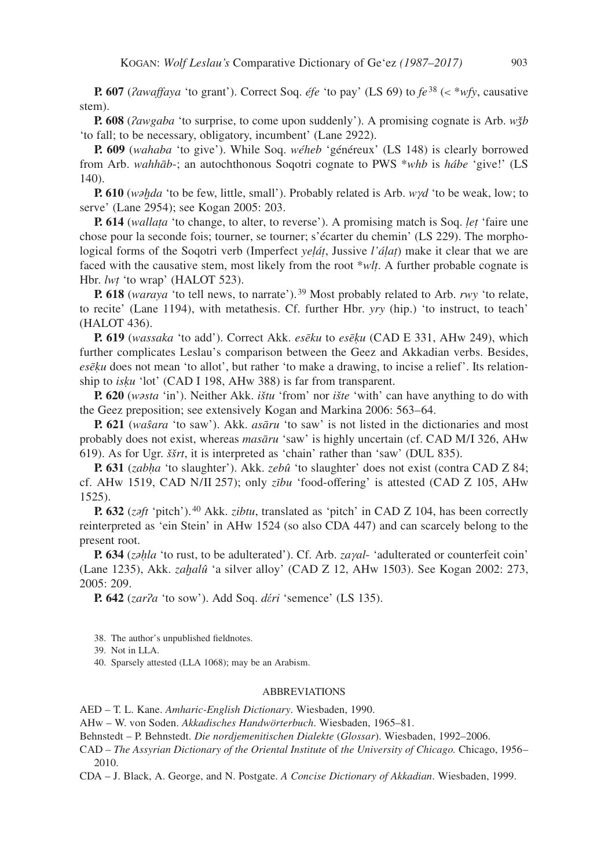**P. 607** (*ʔawaffaya* 'to grant'). Correct Soq. *éfe* 'to pay' (LS 69) to *fe* 38 (< \**wfy*, causative stem).

**P. 608** (*ʔawgaba* 'to surprise, to come upon suddenly'). A promising cognate is Arb. *wʒˇb* 'to fall; to be necessary, obligatory, incumbent' (Lane 2922).

**P. 609** (*wahaba* 'to give'). While Soq. *wéheb* 'généreux' (LS 148) is clearly borrowed from Arb. *wahhāb*-; an autochthonous Soqotri cognate to PWS \**whb* is *hábe* 'give!' (LS 140).

**P. 610** (*wəḫda* 'to be few, little, small'). Probably related is Arb. *wγd* 'to be weak, low; to serve' (Lane 2954); see Kogan 2005: 203.

**P. 614** (*wallaṭa* 'to change, to alter, to reverse'). A promising match is Soq. *ḷeṭ* 'faire une chose pour la seconde fois; tourner, se tourner; s'écarter du chemin' (LS 229). The morphological forms of the Soqotri verb (Imperfect *yeḷáṭ*, Jussive *l'áḷaṭ*) make it clear that we are faced with the causative stem, most likely from the root \**wlṭ*. A further probable cognate is Hbr. *lwṭ* 'to wrap' (HALOT 523).

**P. 618** (*waraya* 'to tell news, to narrate'). 39 Most probably related to Arb. *rwy* 'to relate, to recite' (Lane 1194), with metathesis. Cf. further Hbr. *yry* (hip.) 'to instruct, to teach' (HALOT 436).

**P. 619** (*wassaka* 'to add'). Correct Akk. *esēku* to *esēḳu* (CAD E 331, AHw 249), which further complicates Leslau's comparison between the Geez and Akkadian verbs. Besides, *esēḳu* does not mean 'to allot', but rather 'to make a drawing, to incise a relief'. Its relationship to *isḳu* 'lot' (CAD I 198, AHw 388) is far from transparent.

**P. 620** (*wəsta* 'in'). Neither Akk. *ištu* 'from' nor *ište* 'with' can have anything to do with the Geez preposition; see extensively Kogan and Markina 2006: 563–64.

**P. 621** (*waŝara* 'to saw'). Akk. *asāru* 'to saw' is not listed in the dictionaries and most probably does not exist, whereas *masāru* 'saw' is highly uncertain (cf. CAD M/I 326, AHw 619). As for Ugr. *ššrt*, it is interpreted as 'chain' rather than 'saw' (DUL 835).

**P. 631** (*zabḥa* 'to slaughter'). Akk. *zebû* 'to slaughter' does not exist (contra CAD Z 84; cf. AHw 1519, CAD N/II 257); only *zību* 'food-offering' is attested (CAD Z 105, AHw 1525).

**P. 632** (*zəft* 'pitch'). 40 Akk. *zibtu*, translated as 'pitch' in CAD Z 104, has been correctly reinterpreted as 'ein Stein' in AHw 1524 (so also CDA 447) and can scarcely belong to the present root.

**P. 634** (*zəḥla* 'to rust, to be adulterated'). Cf. Arb. *zaγal*- 'adulterated or counterfeit coin' (Lane 1235), Akk. *zaḫalû* 'a silver alloy' (CAD Z 12, AHw 1503). See Kogan 2002: 273, 2005: 209.

**P. 642** (*zarʔa* 'to sow'). Add Soq. *dέri* 'semence' (LS 135).

38. The author's unpublished fieldnotes.

39. Not in LLA.

40. Sparsely attested (LLA 1068); may be an Arabism.

## **ABBREVIATIONS**

AED – T. L. Kane. *Amharic-English Dictionary*. Wiesbaden, 1990.

AHw – W. von Soden. *Akkadisches Handwörterbuch*. Wiesbaden, 1965–81.

Behnstedt – P. Behnstedt. *Die nordjemenitischen Dialekte* (*Glossar*). Wiesbaden, 1992–2006.

CAD – *The Assyrian Dictionary of the Oriental Institute* of *the University of Chicago.* Chicago, 1956– 2010.

CDA – J. Black, A. George, and N. Postgate. *A Concise Dictionary of Akkadian*. Wiesbaden, 1999.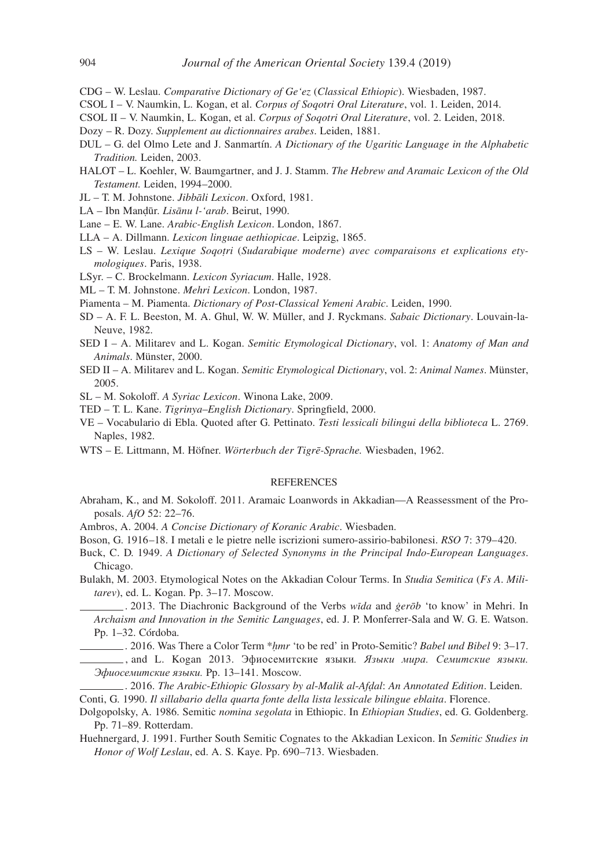- CDG W. Leslau. *Comparative Dictionary of Ge'ez* (*Classical Ethiopic*). Wiesbaden, 1987.
- CSOL I V. Naumkin, L. Kogan, et al. *Corpus of Soqotri Oral Literature*, vol. 1. Leiden, 2014.
- CSOL II V. Naumkin, L. Kogan, et al. *Corpus of Soqotri Oral Literature*, vol. 2. Leiden, 2018.
- Dozy R. Dozy. *Supplement au dictionnaires arabes*. Leiden, 1881.
- DUL G. del Olmo Lete and J. Sanmartín. *A Dictionary of the Ugaritic Language in the Alphabetic Tradition.* Leiden, 2003.
- HALOT L. Koehler, W. Baumgartner, and J. J. Stamm. *The Hebrew and Aramaic Lexicon of the Old Testament.* Leiden, 1994–2000.
- JL T. M. Johnstone. *Jibbāli Lexicon*. Oxford, 1981.
- LA Ibn Manḍūr. *Lisānu l-'arab*. Beirut, 1990.
- Lane E. W. Lane. *Arabic-English Lexicon*. London, 1867.
- LLA A. Dillmann. *Lexicon linguae aethiopicae*. Leipzig, 1865.
- LS W. Leslau. *Lexique Soqoṭri* (*Sudarabique moderne*) *avec comparaisons et explications etymologiques*. Paris, 1938.
- LSyr. C. Brockelmann. *Lexicon Syriacum*. Halle, 1928.
- ML T. M. Johnstone. *Mehri Lexicon*. London, 1987.
- Piamenta M. Piamenta. *Dictionary of Post*-*Classical Yemeni Arabic*. Leiden, 1990.
- SD A. F. L. Beeston, M. A. Ghul, W. W. Müller, and J. Ryckmans. *Sabaic Dictionary*. Louvain-la-Neuve, 1982.
- SED I A. Militarev and L. Kogan. *Semitic Etymological Dictionary*, vol. 1: *Anatomy of Man and Animals*. Münster, 2000.
- SED II A. Militarev and L. Kogan. *Semitic Etymological Dictionary*, vol. 2: *Animal Names*. Münster, 2005.
- SL M. Sokoloff. *A Syriac Lexicon*. Winona Lake, 2009.
- TED T. L. Kane. *Tigrinya*–*English Dictionary*. Springfield, 2000.
- VE Vocabulario di Ebla. Quoted after G. Pettinato. *Testi lessicali bilingui della biblioteca* L. 2769. Naples, 1982.
- WTS E. Littmann, M. Höfner. *Wörterbuch der Tigrē-Sprache.* Wiesbaden, 1962.

## **REFERENCES**

- Abraham, K., and M. Sokoloff. 2011. Aramaic Loanwords in Akkadian—A Reassessment of the Proposals. *AfO* 52: 22–76.
- Ambros, A. 2004. *A Concise Dictionary of Koranic Arabic*. Wiesbaden.
- Boson, G. 1916–18. I metali e le pietre nelle iscrizioni sumero-assirio-babilonesi. *RSO* 7: 379–420.
- Buck, C. D. 1949. *A Dictionary of Selected Synonyms in the Principal Indo*-*European Languages*. Chicago.

Bulakh, M. 2003. Etymological Notes on the Akkadian Colour Terms. In *Studia Semitica* (*Fs A*. *Militarev*), ed. L. Kogan. Pp. 3–17. Moscow.

 . 2013. The Diachronic Background of the Verbs *wīda* and *ġerōb* 'to know' in Mehri. In *Archaism and Innovation in the Semitic Languages*, ed. J. P. Monferrer-Sala and W. G. E. Watson. Pp. 1–32. Córdoba.

 . 2016. Was There a Color Term \**ḥmr* 'to be red' in Proto-Semitic? *Babel und Bibel* 9: 3–17.

, and L. Kogan 2013. Эфиосемитские языки*. Языки мира. Cемитские языки. Эфиосемитские языки.* Pp. 13–141. Moscow.

 . 2016. *The Arabic*-*Ethiopic Glossary by al*-*Malik al*-*Afḍal*: *An Annotated Edition*. Leiden. Conti, G. 1990. *Il sillabario della quarta fonte della lista lessicale bilingue eblaita*. Florence.

- Dolgopolsky, A. 1986. Semitic *nomina segolata* in Ethiopic. In *Ethiopian Studies*, ed. G. Goldenberg. Pp. 71–89. Rotterdam.
- Huehnergard, J. 1991. Further South Semitic Cognates to the Akkadian Lexicon. In *Semitic Studies in Honor of Wolf Leslau*, ed. A. S. Kaye. Pp. 690–713. Wiesbaden.